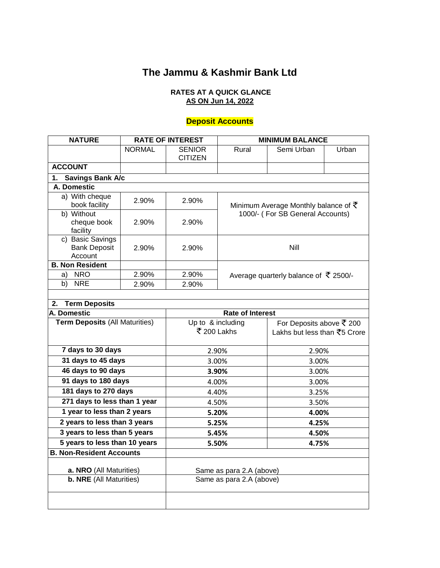# **The Jammu & Kashmir Bank Ltd**

#### **RATES AT A QUICK GLANCE AS ON Jun 14, 2022**

#### **Deposit Accounts**

| <b>NATURE</b>                                      | <b>RATE OF INTEREST</b> |                                              | <b>MINIMUM BALANCE</b>                                                  |            |       |  |
|----------------------------------------------------|-------------------------|----------------------------------------------|-------------------------------------------------------------------------|------------|-------|--|
|                                                    | <b>NORMAL</b>           | <b>SENIOR</b><br><b>CITIZEN</b>              | Rural                                                                   | Semi Urban | Urban |  |
| <b>ACCOUNT</b>                                     |                         |                                              |                                                                         |            |       |  |
| <b>Savings Bank A/c</b><br>1.                      |                         |                                              |                                                                         |            |       |  |
| A. Domestic                                        |                         |                                              |                                                                         |            |       |  |
| a) With cheque<br>2.90%<br>book facility           |                         | 2.90%                                        | Minimum Average Monthly balance of $\bar{\tau}$                         |            |       |  |
| b) Without<br>cheque book<br>facility              | 2.90%                   | 2.90%                                        | 1000/- (For SB General Accounts)                                        |            |       |  |
| c) Basic Savings<br><b>Bank Deposit</b><br>Account | 2.90%                   | 2.90%                                        | <b>Nill</b>                                                             |            |       |  |
| <b>B. Non Resident</b>                             |                         |                                              |                                                                         |            |       |  |
| a) NRO<br>2.90%                                    |                         | 2.90%                                        | Average quarterly balance of $\bar{\tau}$ 2500/-                        |            |       |  |
| <b>NRE</b><br>b)                                   | 2.90%                   | 2.90%                                        |                                                                         |            |       |  |
|                                                    |                         |                                              |                                                                         |            |       |  |
| 2. Term Deposits                                   |                         |                                              |                                                                         |            |       |  |
| A. Domestic                                        |                         | <b>Rate of Interest</b><br>Up to & including |                                                                         |            |       |  |
| <b>Term Deposits (All Maturities)</b>              |                         |                                              | For Deposits above ₹ 200<br>₹ 200 Lakhs<br>Lakhs but less than ₹5 Crore |            |       |  |
| 7 days to 30 days                                  |                         |                                              | 2.90%<br>2.90%                                                          |            |       |  |
| 31 days to 45 days                                 |                         |                                              | 3.00%<br>3.00%                                                          |            |       |  |
| 46 days to 90 days                                 |                         |                                              | 3.90%                                                                   |            | 3.00% |  |
| 91 days to 180 days                                |                         |                                              | 4.00%<br>3.00%                                                          |            |       |  |
| 181 days to 270 days                               |                         |                                              | 3.25%<br>4.40%                                                          |            |       |  |
| 271 days to less than 1 year                       |                         |                                              | 4.50%<br>3.50%                                                          |            |       |  |
| 1 year to less than 2 years                        |                         |                                              | 5.20%<br>4.00%                                                          |            |       |  |
| 2 years to less than 3 years                       |                         |                                              | 5.25%                                                                   |            | 4.25% |  |
| 3 years to less than 5 years                       |                         | 5.45%                                        |                                                                         | 4.50%      |       |  |
| 5 years to less than 10 years                      |                         | 5.50%                                        |                                                                         | 4.75%      |       |  |
| <b>B. Non-Resident Accounts</b>                    |                         |                                              |                                                                         |            |       |  |
|                                                    |                         |                                              |                                                                         |            |       |  |
| a. NRO (All Maturities)                            |                         | Same as para 2.A (above)                     |                                                                         |            |       |  |
| <b>b. NRE</b> (All Maturities)                     |                         | Same as para 2.A (above)                     |                                                                         |            |       |  |
|                                                    |                         |                                              |                                                                         |            |       |  |
|                                                    |                         |                                              |                                                                         |            |       |  |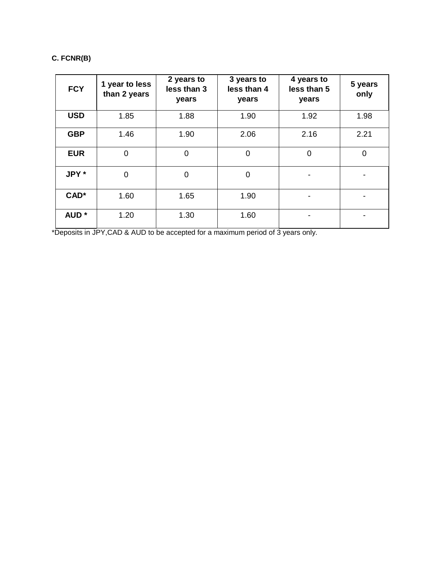## **C. FCNR(B)**

| <b>FCY</b>       | 1 year to less<br>than 2 years | 2 years to<br>less than 3<br>years | 3 years to<br>less than 4<br>years | 4 years to<br>less than 5<br>years | 5 years<br>only |
|------------------|--------------------------------|------------------------------------|------------------------------------|------------------------------------|-----------------|
| <b>USD</b>       | 1.85                           | 1.88                               | 1.90                               | 1.92                               | 1.98            |
| <b>GBP</b>       | 1.46                           | 1.90                               | 2.06                               | 2.16                               | 2.21            |
| <b>EUR</b>       | $\overline{0}$                 | $\mathbf 0$                        | 0                                  | $\overline{0}$                     | 0               |
| JPY *            | 0                              | $\overline{0}$                     | $\overline{0}$                     |                                    |                 |
| CAD*             | 1.60                           | 1.65                               | 1.90                               |                                    |                 |
| AUD <sup>*</sup> | 1.20                           | 1.30                               | 1.60                               |                                    |                 |

\*Deposits in JPY,CAD & AUD to be accepted for a maximum period of 3 years only.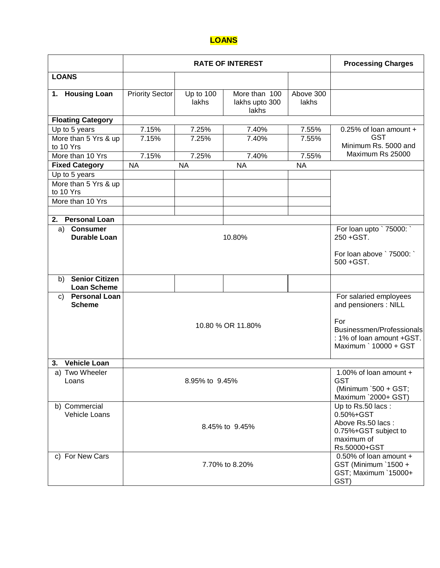### **LOANS**

|                                                    | <b>RATE OF INTEREST</b> |                    |                                          |                                                                                                           | <b>Processing Charges</b>                       |
|----------------------------------------------------|-------------------------|--------------------|------------------------------------------|-----------------------------------------------------------------------------------------------------------|-------------------------------------------------|
| <b>LOANS</b>                                       |                         |                    |                                          |                                                                                                           |                                                 |
| 1. Housing Loan                                    | <b>Priority Sector</b>  | Up to 100<br>lakhs | More than 100<br>lakhs upto 300<br>lakhs | Above 300<br>lakhs                                                                                        |                                                 |
| <b>Floating Category</b>                           |                         |                    |                                          |                                                                                                           |                                                 |
| Up to 5 years                                      | 7.15%                   | 7.25%              | 7.40%                                    | 7.55%                                                                                                     | 0.25% of loan amount +                          |
| More than 5 Yrs & up<br>to 10 Yrs                  | 7.15%                   | 7.25%              | 7.40%                                    | 7.55%                                                                                                     | <b>GST</b><br>Minimum Rs. 5000 and              |
| More than 10 Yrs                                   | 7.15%                   | 7.25%              | 7.40%                                    | 7.55%                                                                                                     | Maximum Rs 25000                                |
| <b>Fixed Category</b>                              | <b>NA</b>               | <b>NA</b>          | <b>NA</b>                                | <b>NA</b>                                                                                                 |                                                 |
| Up to 5 years<br>More than 5 Yrs & up<br>to 10 Yrs |                         |                    |                                          |                                                                                                           |                                                 |
| More than 10 Yrs                                   |                         |                    |                                          |                                                                                                           |                                                 |
| <b>Personal Loan</b>                               |                         |                    |                                          |                                                                                                           |                                                 |
| 2.<br><b>Consumer</b><br>a)<br><b>Durable Loan</b> | 10.80%                  |                    |                                          |                                                                                                           | For loan upto `75000: `<br>250 + GST.           |
|                                                    |                         |                    |                                          |                                                                                                           | For loan above ` 75000: `<br>500 + GST.         |
| <b>Senior Citizen</b><br>b)<br><b>Loan Scheme</b>  |                         |                    |                                          |                                                                                                           |                                                 |
| <b>Personal Loan</b><br>C)<br><b>Scheme</b>        |                         |                    |                                          |                                                                                                           | For salaried employees<br>and pensioners : NILL |
|                                                    | 10.80 % OR 11.80%       |                    |                                          | For<br>Businessmen/Professionals<br>: 1% of loan amount +GST.<br>Maximum ` 10000 + GST                    |                                                 |
| <b>Vehicle Loan</b><br>3.                          |                         |                    |                                          |                                                                                                           |                                                 |
| a) Two Wheeler<br>Loans                            | 8.95% to 9.45%          |                    |                                          | 1.00% of loan amount +<br><b>GST</b><br>(Minimum `500 + GST;<br>Maximum `2000+ GST)                       |                                                 |
| b) Commercial<br>Vehicle Loans                     | 8.45% to 9.45%          |                    |                                          | Up to Rs.50 lacs:<br>0.50%+GST<br>Above Rs.50 lacs:<br>0.75%+GST subject to<br>maximum of<br>Rs.50000+GST |                                                 |
| c) For New Cars                                    | 7.70% to 8.20%          |                    |                                          | 0.50% of loan amount +<br>GST (Minimum `1500 +<br>GST; Maximum `15000+<br>GST)                            |                                                 |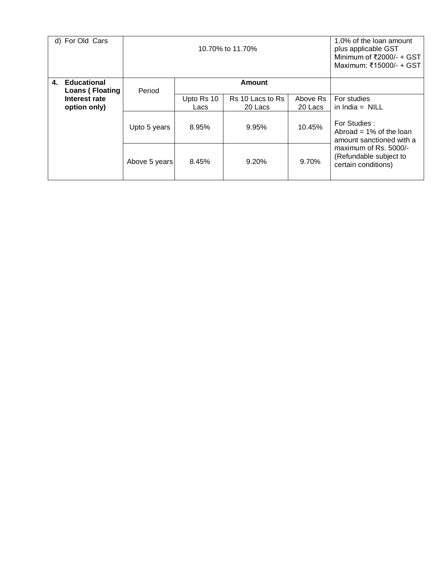|    | d) For Old Cars                                         |               | 10.70% to 11.70%   |                             |                     | 1.0% of the loan amount<br>plus applicable GST<br>Minimum of $\overline{2000/-}$ + GST<br>Maximum: ₹15000/- + GST |
|----|---------------------------------------------------------|---------------|--------------------|-----------------------------|---------------------|-------------------------------------------------------------------------------------------------------------------|
| 4. | <b>Educational</b>                                      | Period        |                    | Amount                      |                     |                                                                                                                   |
|    | <b>Loans (Floating</b><br>Interest rate<br>option only) |               | Upto Rs 10<br>Lacs | Rs 10 Lacs to Rs<br>20 Lacs | Above Rs<br>20 Lacs | For studies<br>in $India = NILL$                                                                                  |
|    |                                                         | Upto 5 years  | 8.95%              | 9.95%                       | 10.45%              | For Studies:<br>Abroad = $1\%$ of the loan<br>amount sanctioned with a                                            |
|    |                                                         | Above 5 years | 8.45%              | 9.20%                       | 9.70%               | maximum of Rs. 5000/-<br>(Refundable subject to<br>certain conditions)                                            |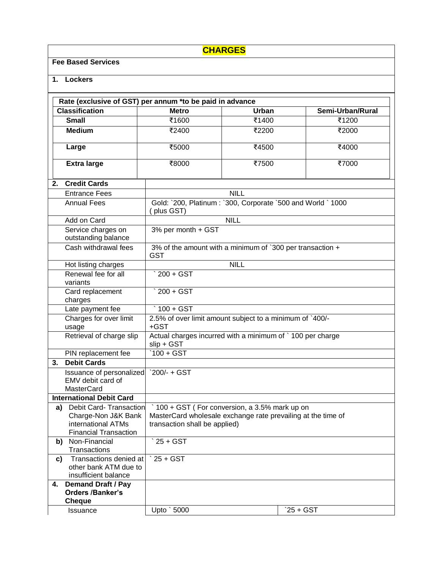| <b>CHARGES</b>           |                                                                                                     |                                                                                                                                                          |                                                             |                  |  |  |  |
|--------------------------|-----------------------------------------------------------------------------------------------------|----------------------------------------------------------------------------------------------------------------------------------------------------------|-------------------------------------------------------------|------------------|--|--|--|
|                          | <b>Fee Based Services</b>                                                                           |                                                                                                                                                          |                                                             |                  |  |  |  |
| 1.                       | <b>Lockers</b>                                                                                      |                                                                                                                                                          |                                                             |                  |  |  |  |
|                          |                                                                                                     |                                                                                                                                                          |                                                             |                  |  |  |  |
|                          |                                                                                                     | Rate (exclusive of GST) per annum *to be paid in advance                                                                                                 |                                                             |                  |  |  |  |
|                          | <b>Classification</b>                                                                               | <b>Metro</b>                                                                                                                                             | Urban                                                       | Semi-Urban/Rural |  |  |  |
|                          | <b>Small</b>                                                                                        | ₹1600                                                                                                                                                    | ₹1400                                                       | ₹1200            |  |  |  |
|                          | <b>Medium</b>                                                                                       | ₹2400                                                                                                                                                    | ₹2200                                                       | ₹2000            |  |  |  |
|                          | Large                                                                                               | ₹5000                                                                                                                                                    | ₹4500                                                       | ₹4000            |  |  |  |
|                          | <b>Extra large</b>                                                                                  | ₹8000                                                                                                                                                    | ₹7500                                                       | ₹7000            |  |  |  |
| 2.                       | <b>Credit Cards</b>                                                                                 |                                                                                                                                                          |                                                             |                  |  |  |  |
|                          | <b>Entrance Fees</b>                                                                                |                                                                                                                                                          | <b>NILL</b>                                                 |                  |  |  |  |
|                          | <b>Annual Fees</b>                                                                                  | plus GST)                                                                                                                                                | Gold: `200, Platinum: `300, Corporate `500 and World ` 1000 |                  |  |  |  |
|                          | Add on Card                                                                                         |                                                                                                                                                          | <b>NILL</b>                                                 |                  |  |  |  |
|                          | Service charges on<br>outstanding balance                                                           | 3% per month + GST                                                                                                                                       |                                                             |                  |  |  |  |
|                          | Cash withdrawal fees                                                                                | 3% of the amount with a minimum of `300 per transaction +<br><b>GST</b>                                                                                  |                                                             |                  |  |  |  |
|                          | Hot listing charges                                                                                 | <b>NILL</b>                                                                                                                                              |                                                             |                  |  |  |  |
|                          | Renewal fee for all<br>variants                                                                     | $\sqrt{200 + GST}$                                                                                                                                       |                                                             |                  |  |  |  |
|                          | Card replacement<br>charges                                                                         | $\degree$ 200 + GST                                                                                                                                      |                                                             |                  |  |  |  |
|                          | Late payment fee                                                                                    | $\degree$ 100 + GST                                                                                                                                      |                                                             |                  |  |  |  |
|                          | Charges for over limit<br>usage                                                                     | 2.5% of over limit amount subject to a minimum of `400/-<br>+GST                                                                                         |                                                             |                  |  |  |  |
|                          | Retrieval of charge slip                                                                            | Actual charges incurred with a minimum of `100 per charge<br>$slip + GST$                                                                                |                                                             |                  |  |  |  |
|                          | PIN replacement fee                                                                                 | $100 + GST$                                                                                                                                              |                                                             |                  |  |  |  |
| <b>Debit Cards</b><br>3. |                                                                                                     |                                                                                                                                                          |                                                             |                  |  |  |  |
|                          | Issuance of personalized<br>EMV debit card of<br><b>MasterCard</b>                                  | $200/- + GST$                                                                                                                                            |                                                             |                  |  |  |  |
|                          | <b>International Debit Card</b>                                                                     |                                                                                                                                                          |                                                             |                  |  |  |  |
| a)                       | Debit Card-Transaction<br>Charge-Non J&K Bank<br>international ATMs<br><b>Financial Transaction</b> | $\dot{\ }$ 100 + GST (For conversion, a 3.5% mark up on<br>MasterCard wholesale exchange rate prevailing at the time of<br>transaction shall be applied) |                                                             |                  |  |  |  |
| b)                       | Non-Financial<br>Transactions                                                                       | $\degree$ 25 + GST                                                                                                                                       |                                                             |                  |  |  |  |
| C)                       | Transactions denied at<br>other bank ATM due to<br>insufficient balance                             | $25 + GST$                                                                                                                                               |                                                             |                  |  |  |  |
| 4.                       | <b>Demand Draft / Pay</b><br><b>Orders /Banker's</b><br>Cheque                                      |                                                                                                                                                          |                                                             |                  |  |  |  |
|                          | <b>Issuance</b>                                                                                     | Upto ` 5000                                                                                                                                              |                                                             | `25 + GST        |  |  |  |
|                          |                                                                                                     |                                                                                                                                                          |                                                             |                  |  |  |  |